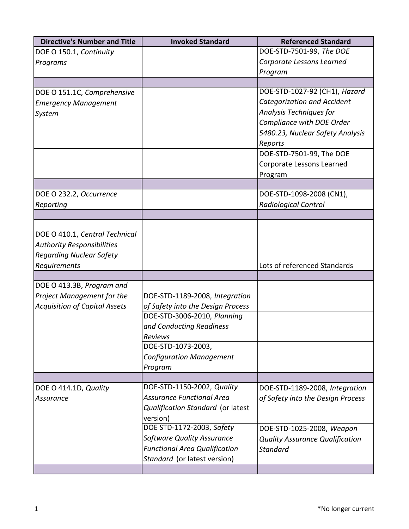| <b>Directive's Number and Title</b>  | <b>Invoked Standard</b>              | <b>Referenced Standard</b>             |
|--------------------------------------|--------------------------------------|----------------------------------------|
| DOE O 150.1, Continuity              |                                      | DOE-STD-7501-99, The DOE               |
| Programs                             |                                      | Corporate Lessons Learned              |
|                                      |                                      | Program                                |
|                                      |                                      |                                        |
| DOE O 151.1C, Comprehensive          |                                      | DOE-STD-1027-92 (CH1), Hazard          |
| <b>Emergency Management</b>          |                                      | <b>Categorization and Accident</b>     |
| System                               |                                      | Analysis Techniques for                |
|                                      |                                      | Compliance with DOE Order              |
|                                      |                                      | 5480.23, Nuclear Safety Analysis       |
|                                      |                                      | Reports                                |
|                                      |                                      | DOE-STD-7501-99, The DOE               |
|                                      |                                      | Corporate Lessons Learned              |
|                                      |                                      | Program                                |
|                                      |                                      |                                        |
| DOE O 232.2, Occurrence              |                                      | DOE-STD-1098-2008 (CN1),               |
| Reporting                            |                                      | <b>Radiological Control</b>            |
|                                      |                                      |                                        |
|                                      |                                      |                                        |
| DOE O 410.1, Central Technical       |                                      |                                        |
| <b>Authority Responsibilities</b>    |                                      |                                        |
| <b>Regarding Nuclear Safety</b>      |                                      |                                        |
| Requirements                         |                                      | Lots of referenced Standards           |
|                                      |                                      |                                        |
| DOE O 413.3B, Program and            |                                      |                                        |
| Project Management for the           | DOE-STD-1189-2008, Integration       |                                        |
| <b>Acquisition of Capital Assets</b> | of Safety into the Design Process    |                                        |
|                                      | DOE-STD-3006-2010, Planning          |                                        |
|                                      | and Conducting Readiness             |                                        |
|                                      | Reviews                              |                                        |
|                                      | DOE-STD-1073-2003,                   |                                        |
|                                      | <b>Configuration Management</b>      |                                        |
|                                      | Program                              |                                        |
| DOE O 414.1D, Quality                | DOE-STD-1150-2002, Quality           | DOE-STD-1189-2008, Integration         |
| Assurance                            | <b>Assurance Functional Area</b>     | of Safety into the Design Process      |
|                                      | Qualification Standard (or latest    |                                        |
|                                      | version)                             |                                        |
|                                      | DOE STD-1172-2003, Safety            | DOE-STD-1025-2008, Weapon              |
|                                      | Software Quality Assurance           | <b>Quality Assurance Qualification</b> |
|                                      | <b>Functional Area Qualification</b> | <b>Standard</b>                        |
|                                      | Standard (or latest version)         |                                        |
|                                      |                                      |                                        |
|                                      |                                      |                                        |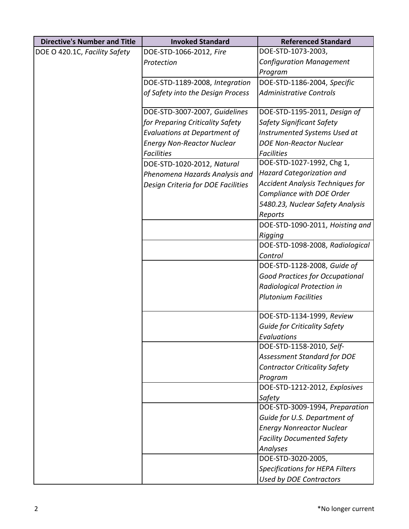| <b>Directive's Number and Title</b> | <b>Invoked Standard</b>             | <b>Referenced Standard</b>              |
|-------------------------------------|-------------------------------------|-----------------------------------------|
| DOE O 420.1C, Facility Safety       | DOE-STD-1066-2012, Fire             | DOE-STD-1073-2003,                      |
|                                     | Protection                          | <b>Configuration Management</b>         |
|                                     |                                     | Program                                 |
|                                     | DOE-STD-1189-2008, Integration      | DOE-STD-1186-2004, Specific             |
|                                     | of Safety into the Design Process   | <b>Administrative Controls</b>          |
|                                     | DOE-STD-3007-2007, Guidelines       | DOE-STD-1195-2011, Design of            |
|                                     | for Preparing Criticality Safety    | Safety Significant Safety               |
|                                     | <b>Evaluations at Department of</b> | Instrumented Systems Used at            |
|                                     | <b>Energy Non-Reactor Nuclear</b>   | <b>DOE Non-Reactor Nuclear</b>          |
|                                     | <b>Facilities</b>                   | <b>Facilities</b>                       |
|                                     | DOE-STD-1020-2012, Natural          | DOE-STD-1027-1992, Chg 1,               |
|                                     | Phenomena Hazards Analysis and      | <b>Hazard Categorization and</b>        |
|                                     | Design Criteria for DOE Facilities  | <b>Accident Analysis Techniques for</b> |
|                                     |                                     | Compliance with DOE Order               |
|                                     |                                     | 5480.23, Nuclear Safety Analysis        |
|                                     |                                     | Reports                                 |
|                                     |                                     | DOE-STD-1090-2011, Hoisting and         |
|                                     |                                     | Rigging                                 |
|                                     |                                     | DOE-STD-1098-2008, Radiological         |
|                                     |                                     | Control                                 |
|                                     |                                     | DOE-STD-1128-2008, Guide of             |
|                                     |                                     | <b>Good Practices for Occupational</b>  |
|                                     |                                     | Radiological Protection in              |
|                                     |                                     | <b>Plutonium Facilities</b>             |
|                                     |                                     | DOE-STD-1134-1999, Review               |
|                                     |                                     | <b>Guide for Criticality Safety</b>     |
|                                     |                                     | Evaluations                             |
|                                     |                                     | DOE-STD-1158-2010, Self-                |
|                                     |                                     | <b>Assessment Standard for DOE</b>      |
|                                     |                                     | <b>Contractor Criticality Safety</b>    |
|                                     |                                     | Program                                 |
|                                     |                                     | DOE-STD-1212-2012, Explosives           |
|                                     |                                     | Safety                                  |
|                                     |                                     | DOE-STD-3009-1994, Preparation          |
|                                     |                                     | Guide for U.S. Department of            |
|                                     |                                     | <b>Energy Nonreactor Nuclear</b>        |
|                                     |                                     | <b>Facility Documented Safety</b>       |
|                                     |                                     | Analyses                                |
|                                     |                                     | DOE-STD-3020-2005,                      |
|                                     |                                     | <b>Specifications for HEPA Filters</b>  |
|                                     |                                     | <b>Used by DOE Contractors</b>          |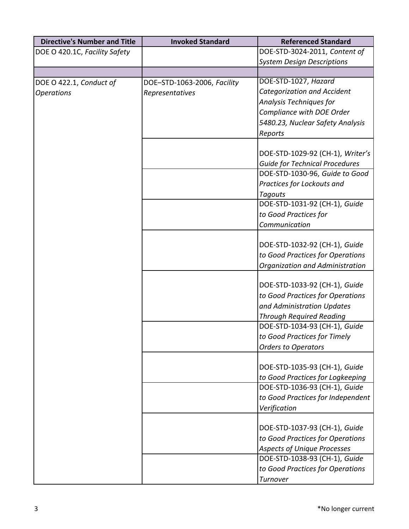| <b>Directive's Number and Title</b> | <b>Invoked Standard</b>     | <b>Referenced Standard</b>            |
|-------------------------------------|-----------------------------|---------------------------------------|
| DOE O 420.1C, Facility Safety       |                             | DOE-STD-3024-2011, Content of         |
|                                     |                             | <b>System Design Descriptions</b>     |
|                                     |                             |                                       |
| DOE O 422.1, Conduct of             | DOE-STD-1063-2006, Facility | DOE-STD-1027, Hazard                  |
| <b>Operations</b>                   | Representatives             | Categorization and Accident           |
|                                     |                             | Analysis Techniques for               |
|                                     |                             | Compliance with DOE Order             |
|                                     |                             | 5480.23, Nuclear Safety Analysis      |
|                                     |                             | Reports                               |
|                                     |                             |                                       |
|                                     |                             | DOE-STD-1029-92 (CH-1), Writer's      |
|                                     |                             | <b>Guide for Technical Procedures</b> |
|                                     |                             | DOE-STD-1030-96, Guide to Good        |
|                                     |                             | Practices for Lockouts and            |
|                                     |                             | <b>Tagouts</b>                        |
|                                     |                             | DOE-STD-1031-92 (CH-1), Guide         |
|                                     |                             | to Good Practices for                 |
|                                     |                             | Communication                         |
|                                     |                             |                                       |
|                                     |                             | DOE-STD-1032-92 (CH-1), Guide         |
|                                     |                             | to Good Practices for Operations      |
|                                     |                             | Organization and Administration       |
|                                     |                             |                                       |
|                                     |                             | DOE-STD-1033-92 (CH-1), Guide         |
|                                     |                             | to Good Practices for Operations      |
|                                     |                             | and Administration Updates            |
|                                     |                             | <b>Through Required Reading</b>       |
|                                     |                             | DOE-STD-1034-93 (CH-1), Guide         |
|                                     |                             | to Good Practices for Timely          |
|                                     |                             | <b>Orders to Operators</b>            |
|                                     |                             |                                       |
|                                     |                             | DOE-STD-1035-93 (CH-1), Guide         |
|                                     |                             | to Good Practices for Logkeeping      |
|                                     |                             | DOE-STD-1036-93 (CH-1), Guide         |
|                                     |                             | to Good Practices for Independent     |
|                                     |                             | Verification                          |
|                                     |                             |                                       |
|                                     |                             | DOE-STD-1037-93 (CH-1), Guide         |
|                                     |                             | to Good Practices for Operations      |
|                                     |                             | <b>Aspects of Unique Processes</b>    |
|                                     |                             | DOE-STD-1038-93 (CH-1), Guide         |
|                                     |                             | to Good Practices for Operations      |
|                                     |                             | Turnover                              |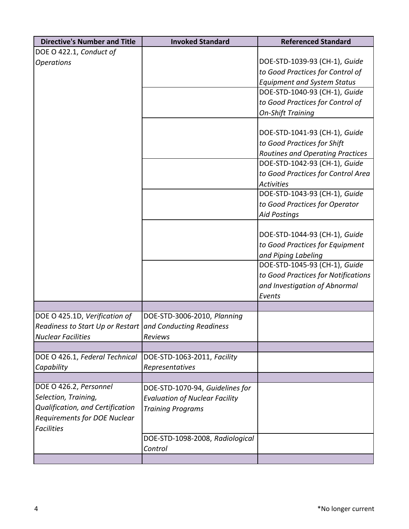| <b>Directive's Number and Title</b>                       | <b>Invoked Standard</b>               | <b>Referenced Standard</b>          |
|-----------------------------------------------------------|---------------------------------------|-------------------------------------|
| DOE O 422.1, Conduct of                                   |                                       |                                     |
| <b>Operations</b>                                         |                                       | DOE-STD-1039-93 (CH-1), Guide       |
|                                                           |                                       | to Good Practices for Control of    |
|                                                           |                                       | <b>Equipment and System Status</b>  |
|                                                           |                                       | DOE-STD-1040-93 (CH-1), Guide       |
|                                                           |                                       | to Good Practices for Control of    |
|                                                           |                                       | <b>On-Shift Training</b>            |
|                                                           |                                       | DOE-STD-1041-93 (CH-1), Guide       |
|                                                           |                                       | to Good Practices for Shift         |
|                                                           |                                       | Routines and Operating Practices    |
|                                                           |                                       | DOE-STD-1042-93 (CH-1), Guide       |
|                                                           |                                       | to Good Practices for Control Area  |
|                                                           |                                       | <b>Activities</b>                   |
|                                                           |                                       | DOE-STD-1043-93 (CH-1), Guide       |
|                                                           |                                       | to Good Practices for Operator      |
|                                                           |                                       | <b>Aid Postings</b>                 |
|                                                           |                                       |                                     |
|                                                           |                                       | DOE-STD-1044-93 (CH-1), Guide       |
|                                                           |                                       | to Good Practices for Equipment     |
|                                                           |                                       | and Piping Labeling                 |
|                                                           |                                       | DOE-STD-1045-93 (CH-1), Guide       |
|                                                           |                                       | to Good Practices for Notifications |
|                                                           |                                       | and Investigation of Abnormal       |
|                                                           |                                       | Events                              |
|                                                           |                                       |                                     |
| DOE O 425.1D, Verification of                             | DOE-STD-3006-2010, Planning           |                                     |
| Readiness to Start Up or Restart and Conducting Readiness |                                       |                                     |
| <b>Nuclear Facilities</b>                                 | Reviews                               |                                     |
|                                                           |                                       |                                     |
| DOE O 426.1, Federal Technical                            | DOE-STD-1063-2011, Facility           |                                     |
| Capability                                                | Representatives                       |                                     |
| DOE O 426.2, Personnel                                    | DOE-STD-1070-94, Guidelines for       |                                     |
| Selection, Training,                                      | <b>Evaluation of Nuclear Facility</b> |                                     |
| Qualification, and Certification                          | <b>Training Programs</b>              |                                     |
| <b>Requirements for DOE Nuclear</b>                       |                                       |                                     |
| <b>Facilities</b>                                         |                                       |                                     |
|                                                           | DOE-STD-1098-2008, Radiological       |                                     |
|                                                           | Control                               |                                     |
|                                                           |                                       |                                     |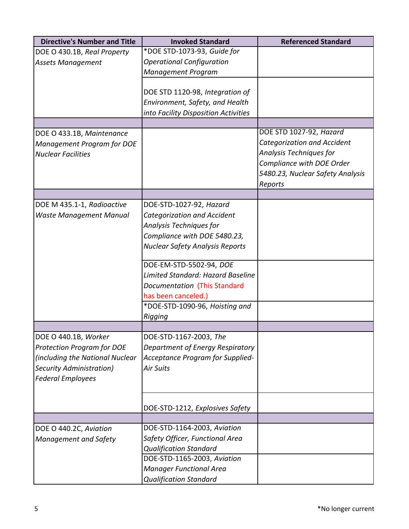| <b>Directive's Number and Title</b> | <b>Invoked Standard</b>                                      | <b>Referenced Standard</b>         |
|-------------------------------------|--------------------------------------------------------------|------------------------------------|
| DOE O 430.1B, Real Property         | *DOE STD-1073-93, Guide for                                  |                                    |
| <b>Assets Management</b>            | <b>Operational Configuration</b>                             |                                    |
|                                     | <b>Management Program</b>                                    |                                    |
|                                     |                                                              |                                    |
|                                     | DOE STD 1120-98, Integration of                              |                                    |
|                                     | Environment, Safety, and Health                              |                                    |
|                                     | into Facility Disposition Activities                         |                                    |
|                                     |                                                              |                                    |
| DOE O 433.1B, Maintenance           |                                                              | DOE STD 1027-92, Hazard            |
| Management Program for DOE          |                                                              | <b>Categorization and Accident</b> |
| <b>Nuclear Facilities</b>           |                                                              | Analysis Techniques for            |
|                                     |                                                              | Compliance with DOE Order          |
|                                     |                                                              | 5480.23, Nuclear Safety Analysis   |
|                                     |                                                              | Reports                            |
|                                     |                                                              |                                    |
| DOE M 435.1-1, Radioactive          | DOE-STD-1027-92, Hazard                                      |                                    |
| <b>Waste Management Manual</b>      | Categorization and Accident                                  |                                    |
|                                     | Analysis Techniques for                                      |                                    |
|                                     | Compliance with DOE 5480.23,                                 |                                    |
|                                     | <b>Nuclear Safety Analysis Reports</b>                       |                                    |
|                                     | DOE-EM-STD-5502-94, DOE                                      |                                    |
|                                     | Limited Standard: Hazard Baseline                            |                                    |
|                                     | Documentation (This Standard                                 |                                    |
|                                     | has been canceled.)                                          |                                    |
|                                     | *DOE-STD-1090-96, Hoisting and                               |                                    |
|                                     | Rigging                                                      |                                    |
|                                     |                                                              |                                    |
| DOE O 440.1B, Worker                | DOE-STD-1167-2003, The                                       |                                    |
| <b>Protection Program for DOE</b>   | Department of Energy Respiratory                             |                                    |
| (including the National Nuclear     | Acceptance Program for Supplied-                             |                                    |
| Security Administration)            | <b>Air Suits</b>                                             |                                    |
| <b>Federal Employees</b>            |                                                              |                                    |
|                                     |                                                              |                                    |
|                                     |                                                              |                                    |
|                                     | DOE-STD-1212, Explosives Safety                              |                                    |
|                                     | DOE-STD-1164-2003, Aviation                                  |                                    |
| DOE O 440.2C, Aviation              | Safety Officer, Functional Area                              |                                    |
| <b>Management and Safety</b>        |                                                              |                                    |
|                                     | <b>Qualification Standard</b><br>DOE-STD-1165-2003, Aviation |                                    |
|                                     |                                                              |                                    |
|                                     | <b>Manager Functional Area</b>                               |                                    |
|                                     | <b>Qualification Standard</b>                                |                                    |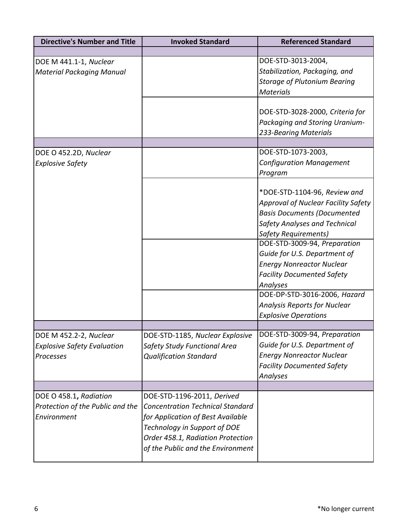| <b>Directive's Number and Title</b>                                       | <b>Invoked Standard</b>                                                                                                                                                                                              | <b>Referenced Standard</b>                                                                                                                                                                                                                                                                  |
|---------------------------------------------------------------------------|----------------------------------------------------------------------------------------------------------------------------------------------------------------------------------------------------------------------|---------------------------------------------------------------------------------------------------------------------------------------------------------------------------------------------------------------------------------------------------------------------------------------------|
|                                                                           |                                                                                                                                                                                                                      |                                                                                                                                                                                                                                                                                             |
| DOE M 441.1-1, Nuclear<br><b>Material Packaging Manual</b>                |                                                                                                                                                                                                                      | DOE-STD-3013-2004,<br>Stabilization, Packaging, and<br><b>Storage of Plutonium Bearing</b><br><b>Materials</b>                                                                                                                                                                              |
|                                                                           |                                                                                                                                                                                                                      | DOE-STD-3028-2000, Criteria for<br>Packaging and Storing Uranium-<br>233-Bearing Materials                                                                                                                                                                                                  |
|                                                                           |                                                                                                                                                                                                                      |                                                                                                                                                                                                                                                                                             |
| DOE O 452.2D, Nuclear<br><b>Explosive Safety</b>                          |                                                                                                                                                                                                                      | DOE-STD-1073-2003,<br><b>Configuration Management</b><br>Program                                                                                                                                                                                                                            |
|                                                                           |                                                                                                                                                                                                                      | *DOE-STD-1104-96, Review and<br><b>Approval of Nuclear Facility Safety</b><br><b>Basis Documents (Documented</b><br><b>Safety Analyses and Technical</b><br><b>Safety Requirements)</b><br>DOE-STD-3009-94, Preparation<br>Guide for U.S. Department of<br><b>Energy Nonreactor Nuclear</b> |
|                                                                           |                                                                                                                                                                                                                      | <b>Facility Documented Safety</b><br>Analyses                                                                                                                                                                                                                                               |
|                                                                           |                                                                                                                                                                                                                      | DOE-DP-STD-3016-2006, Hazard<br><b>Analysis Reports for Nuclear</b><br><b>Explosive Operations</b>                                                                                                                                                                                          |
|                                                                           |                                                                                                                                                                                                                      |                                                                                                                                                                                                                                                                                             |
| DOE M 452.2-2, Nuclear<br><b>Explosive Safety Evaluation</b><br>Processes | DOE-STD-1185, Nuclear Explosive<br>Safety Study Functional Area<br><b>Qualification Standard</b>                                                                                                                     | DOE-STD-3009-94, Preparation<br>Guide for U.S. Department of<br><b>Energy Nonreactor Nuclear</b><br><b>Facility Documented Safety</b><br>Analyses                                                                                                                                           |
|                                                                           |                                                                                                                                                                                                                      |                                                                                                                                                                                                                                                                                             |
| DOE O 458.1, Radiation<br>Protection of the Public and the<br>Environment | DOE-STD-1196-2011, Derived<br><b>Concentration Technical Standard</b><br>for Application of Best Available<br>Technology in Support of DOE<br>Order 458.1, Radiation Protection<br>of the Public and the Environment |                                                                                                                                                                                                                                                                                             |